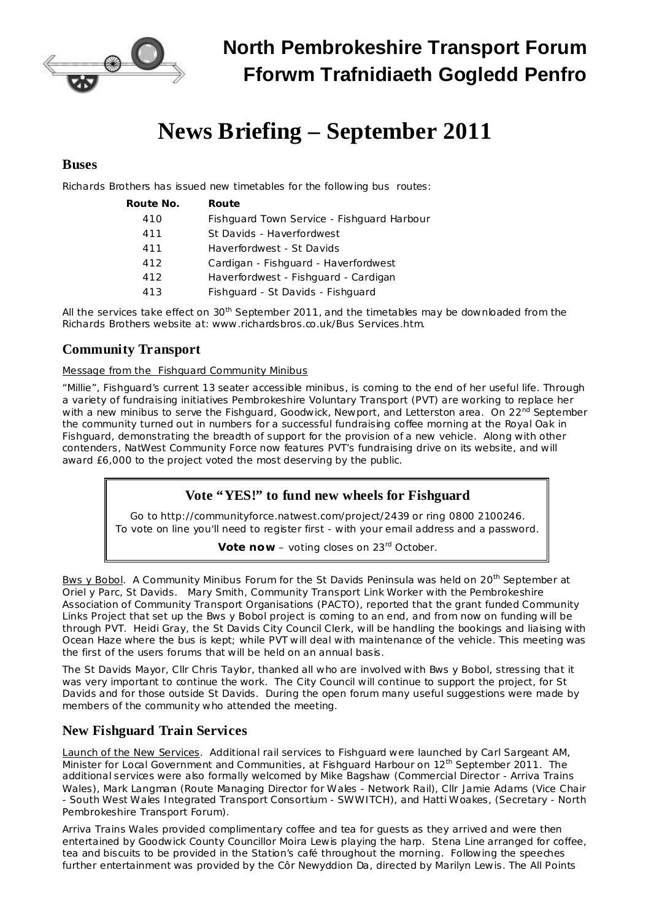

# **News Briefing – September 2011**

#### **Buses**

Richards Brothers has issued new timetables for the following bus routes:

| Route No. | Route                                      |
|-----------|--------------------------------------------|
| 410       | Fishguard Town Service - Fishguard Harbour |
| 411       | St Davids - Haverfordwest                  |
| 411       | Haverfordwest - St Davids                  |
| 412       | Cardigan - Fishguard - Haverfordwest       |
| 412       | Haverfordwest - Fishguard - Cardigan       |
| 413       | Fishguard - St Davids - Fishguard          |

All the services take effect on 30<sup>th</sup> September 2011, and the timetables may be downloaded from the Richards Brothers website at: [www.richardsbros.co.uk/Bus](http://www.richardsbros.co.uk/Bus Services.htm) Services.htm.

### **Community Transport**

Message from the Fishguard Community Minibus

"Millie", Fishguard's current 13 seater accessible minibus, is coming to the end of her useful life. Through a variety of fundraising initiatives Pembrokeshire Voluntary Transport (PVT) are working to replace her with a new minibus to serve the Fishguard, Goodwick, Newport, and Letterston area. On 22<sup>nd</sup> September the community turned out in numbers for a successful fundraising coffee morning at the Royal Oak in Fishguard, demonstrating the breadth of support for the provision of a new vehicle. Along with other contenders, NatWest Community Force now features PVT's fundraising drive on its website, and will award £6,000 to the project voted the most deserving by the public.

#### **Vote "YES!" to fund new wheels for Fishguard**

Go to <http://communityforce.natwest.com/project/2439> or ring 0800 2100246. To vote on line you'll need to register first - with your email address and a password.

**Vote now** – voting closes on 23 rd October.

Bws y Bobol. A Community Minibus Forum for the St Davids Peninsula was held on 20<sup>th</sup> September at Oriel y Parc, St Davids. Mary Smith, Community Transport Link Worker with the Pembrokeshire Association of Community Transport Organisations (PACTO), reported that the grant funded Community Links Project that set up the Bws y Bobol project is coming to an end, and from now on funding will be through PVT. Heidi Gray, the St Davids City Council Clerk, will be handling the bookings and liaising with Ocean Haze where the bus is kept; while PVT will deal with maintenance of the vehicle. This meeting was the first of the users forums that will be held on an annual basis.

The St Davids Mayor, Cllr Chris Taylor, thanked all who are involved with Bws y Bobol, stressing that it was very important to continue the work. The City Council will continue to support the project, for St Davids and for those outside St Davids. During the open forum many useful suggestions were made by members of the community who attended the meeting.

## **New Fishguard Train Services**

Launch of the New Services. Additional rail services to Fishguard were launched by Carl Sargeant AM, Minister for Local Government and Communities, at Fishguard Harbour on 12<sup>th</sup> September 2011. The additional services were also formally welcomed by Mike Bagshaw (Commercial Director - Arriva Trains Wales), Mark Langman (Route Managing Director for Wales - Network Rail), Cllr Jamie Adams (Vice Chair - South West Wales Integrated Transport Consortium - SWWITCH), and Hatti Woakes, (Secretary - North Pembrokeshire Transport Forum).

Arriva Trains Wales provided complimentary coffee and tea for guests as they arrived and were then entertained by Goodwick County Councillor Moira Lewis playing the harp. Stena Line arranged for coffee, tea and biscuits to be provided in the Station's café throughout the morning. Following the speeches further entertainment was provided by the Côr Newyddion Da, directed by Marilyn Lewis. The All Points